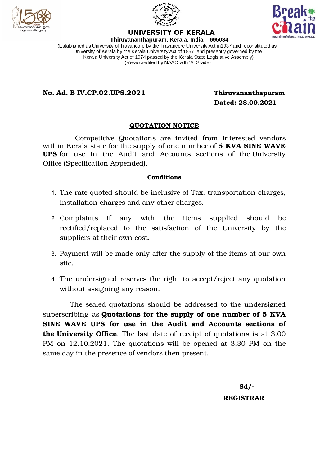





# **UNIVERSITY OF KERALA**

Thiruvananthapuram, Kerala, India - 695034 (Established as University of Travancore by the Travancore University Act in 1937 and reconstituted as University of Kerala by the Kerala University Act of 1957 and presently governed by the Kerala University Act of 1974 passed by the Kerala State Legislative Assembly) (Re-accredited by NAAC with 'A' Grade)

## **No. Ad. B IV.CP.02.UPS.2021 Thiruvananthapuram**

**Dated: 28.09.2021**

### **QUOTATION NOTICE**

Competitive Quotations are invited from interested vendors within Kerala state for the supply of one number of **5 KVA SINE WAVE UPS** for use in the Audit and Accounts sections of the University Office (Specification Appended).

#### **Conditions**

- 1. The rate quoted should be inclusive of Tax, transportation charges, installation charges and any other charges.
- 2. Complaints if any with the items supplied should be rectified/replaced to the satisfaction of the University by the suppliers at their own cost.
- 3. Payment will be made only after the supply of the items at our own site.
- 4. The undersigned reserves the right to accept/reject any quotation without assigning any reason.

The sealed quotations should be addressed to the undersigned superscribing as **Quotations for the supply of one number of 5 KVA SINE WAVE UPS for use in the Audit and Accounts sections of the University Office**. The last date of receipt of quotations is at 3.00 PM on 12.10.2021. The quotations will be opened at 3.30 PM on the same day in the presence of vendors then present.

**Sd/-**

#### **REGISTRAR**